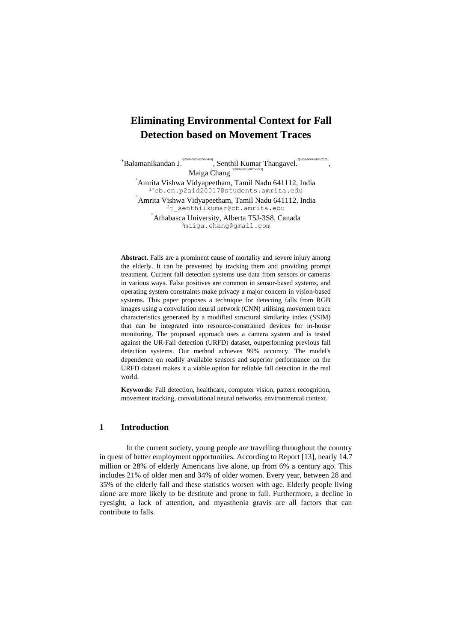# **Eliminating Environmental Context for Fall Detection based on Movement Traces**

,

\*Balamanikandan J. 1[0000-0003-1200-6496]  $\frac{1}{2}$ , Senthil Kumar Thangavel. 2[0000-0001-8160-7223] Maiga Chang 3[0000-0002-2827-6223] 1 Amrita Vishwa Vidyapeetham, Tamil Nadu 641112, India 1\*cb.en.p2aid20017@students.amrita.edu 2 Amrita Vishwa Vidyapeetham, Tamil Nadu 641112, India <sup>2</sup>t senthilkumar@cb.amrita.edu 3 Athabasca University, Alberta T5J-3S8, Canada <sup>3</sup>maiga.chang@gmail.com

**Abstract.** Falls are a prominent cause of mortality and severe injury among the elderly. It can be prevented by tracking them and providing prompt treatment. Current fall detection systems use data from sensors or cameras in various ways. False positives are common in sensor-based systems, and operating system constraints make privacy a major concern in vision-based systems. This paper proposes a technique for detecting falls from RGB images using a convolution neural network (CNN) utilising movement trace characteristics generated by a modified structural similarity index (SSIM) that can be integrated into resource-constrained devices for in-house monitoring. The proposed approach uses a camera system and is tested against the UR-Fall detection (URFD) dataset, outperforming previous fall detection systems. Our method achieves 99% accuracy. The model's dependence on readily available sensors and superior performance on the URFD dataset makes it a viable option for reliable fall detection in the real world.

**Keywords:** Fall detection, healthcare, computer vision, pattern recognition, movement tracking, convolutional neural networks, environmental context.

# **1 Introduction**

In the current society, young people are travelling throughout the country in quest of better employment opportunities. According to Report [13], nearly 14.7 million or 28% of elderly Americans live alone, up from 6% a century ago. This includes 21% of older men and 34% of older women. Every year, between 28 and 35% of the elderly fall and these statistics worsen with age. Elderly people living alone are more likely to be destitute and prone to fall. Furthermore, a decline in eyesight, a lack of attention, and myasthenia gravis are all factors that can contribute to falls.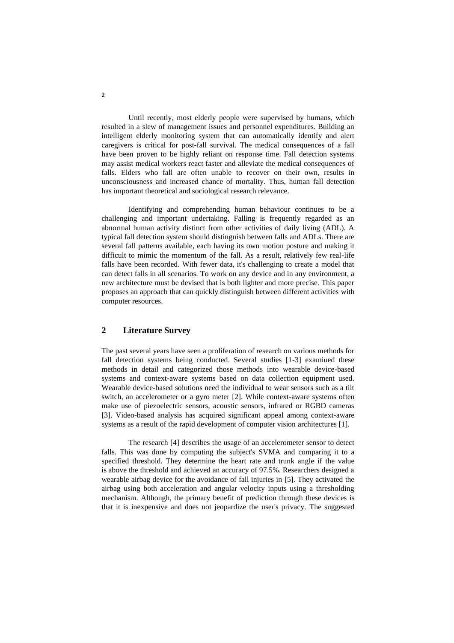Until recently, most elderly people were supervised by humans, which resulted in a slew of management issues and personnel expenditures. Building an intelligent elderly monitoring system that can automatically identify and alert caregivers is critical for post-fall survival. The medical consequences of a fall have been proven to be highly reliant on response time. Fall detection systems may assist medical workers react faster and alleviate the medical consequences of falls. Elders who fall are often unable to recover on their own, results in unconsciousness and increased chance of mortality. Thus, human fall detection has important theoretical and sociological research relevance.

Identifying and comprehending human behaviour continues to be a challenging and important undertaking. Falling is frequently regarded as an abnormal human activity distinct from other activities of daily living (ADL). A typical fall detection system should distinguish between falls and ADLs. There are several fall patterns available, each having its own motion posture and making it difficult to mimic the momentum of the fall. As a result, relatively few real-life falls have been recorded. With fewer data, it's challenging to create a model that can detect falls in all scenarios. To work on any device and in any environment, a new architecture must be devised that is both lighter and more precise. This paper proposes an approach that can quickly distinguish between different activities with computer resources.

# **2 Literature Survey**

The past several years have seen a proliferation of research on various methods for fall detection systems being conducted. Several studies [1-3] examined these methods in detail and categorized those methods into wearable device-based systems and context-aware systems based on data collection equipment used. Wearable device-based solutions need the individual to wear sensors such as a tilt switch, an accelerometer or a gyro meter [2]. While context-aware systems often make use of piezoelectric sensors, acoustic sensors, infrared or RGBD cameras [3]. Video-based analysis has acquired significant appeal among context-aware systems as a result of the rapid development of computer vision architectures [1].

The research [4] describes the usage of an accelerometer sensor to detect falls. This was done by computing the subject's SVMA and comparing it to a specified threshold. They determine the heart rate and trunk angle if the value is above the threshold and achieved an accuracy of 97.5%. Researchers designed a wearable airbag device for the avoidance of fall injuries in [5]. They activated the airbag using both acceleration and angular velocity inputs using a thresholding mechanism. Although, the primary benefit of prediction through these devices is that it is inexpensive and does not jeopardize the user's privacy. The suggested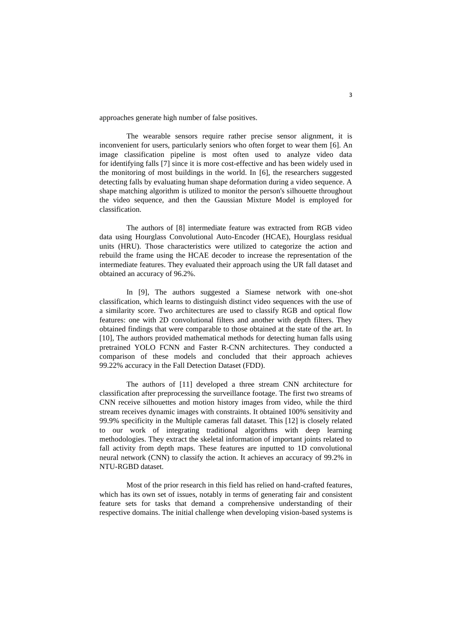approaches generate high number of false positives.

The wearable sensors require rather precise sensor alignment, it is inconvenient for users, particularly seniors who often forget to wear them [6]. An image classification pipeline is most often used to analyze video data for identifying falls [7] since it is more cost-effective and has been widely used in the monitoring of most buildings in the world. In [6], the researchers suggested detecting falls by evaluating human shape deformation during a video sequence. A shape matching algorithm is utilized to monitor the person's silhouette throughout the video sequence, and then the Gaussian Mixture Model is employed for classification.

The authors of [8] intermediate feature was extracted from RGB video data using Hourglass Convolutional Auto-Encoder (HCAE), Hourglass residual units (HRU). Those characteristics were utilized to categorize the action and rebuild the frame using the HCAE decoder to increase the representation of the intermediate features. They evaluated their approach using the UR fall dataset and obtained an accuracy of 96.2%.

In [9], The authors suggested a Siamese network with one-shot classification, which learns to distinguish distinct video sequences with the use of a similarity score. Two architectures are used to classify RGB and optical flow features: one with 2D convolutional filters and another with depth filters. They obtained findings that were comparable to those obtained at the state of the art. In [10], The authors provided mathematical methods for detecting human falls using pretrained YOLO FCNN and Faster R-CNN architectures. They conducted a comparison of these models and concluded that their approach achieves 99.22% accuracy in the Fall Detection Dataset (FDD).

The authors of [11] developed a three stream CNN architecture for classification after preprocessing the surveillance footage. The first two streams of CNN receive silhouettes and motion history images from video, while the third stream receives dynamic images with constraints. It obtained 100% sensitivity and 99.9% specificity in the Multiple cameras fall dataset. This [12] is closely related to our work of integrating traditional algorithms with deep learning methodologies. They extract the skeletal information of important joints related to fall activity from depth maps. These features are inputted to 1D convolutional neural network (CNN) to classify the action. It achieves an accuracy of 99.2% in NTU-RGBD dataset.

Most of the prior research in this field has relied on hand-crafted features, which has its own set of issues, notably in terms of generating fair and consistent feature sets for tasks that demand a comprehensive understanding of their respective domains. The initial challenge when developing vision-based systems is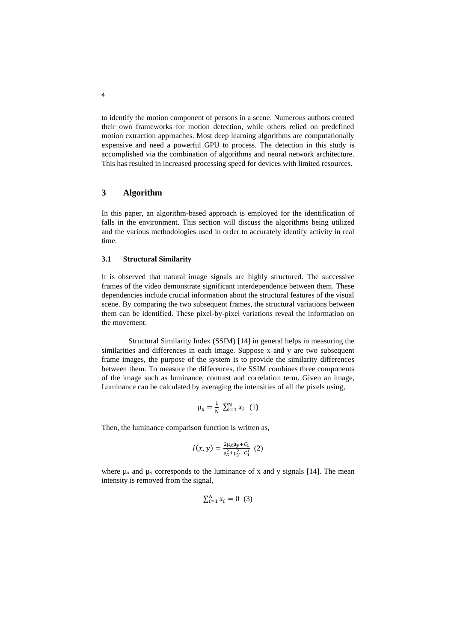to identify the motion component of persons in a scene. Numerous authors created their own frameworks for motion detection, while others relied on predefined motion extraction approaches. Most deep learning algorithms are computationally expensive and need a powerful GPU to process. The detection in this study is accomplished via the combination of algorithms and neural network architecture. This has resulted in increased processing speed for devices with limited resources.

# **3 Algorithm**

In this paper, an algorithm-based approach is employed for the identification of falls in the environment. This section will discuss the algorithms being utilized and the various methodologies used in order to accurately identify activity in real time.

## **3.1 Structural Similarity**

It is observed that natural image signals are highly structured. The successive frames of the video demonstrate significant interdependence between them. These dependencies include crucial information about the structural features of the visual scene. By comparing the two subsequent frames, the structural variations between them can be identified. These pixel-by-pixel variations reveal the information on the movement.

Structural Similarity Index (SSIM) [14] in general helps in measuring the similarities and differences in each image. Suppose x and y are two subsequent frame images, the purpose of the system is to provide the similarity differences between them. To measure the differences, the SSIM combines three components of the image such as luminance, contrast and correlation term. Given an image, Luminance can be calculated by averaging the intensities of all the pixels using,

$$
\mu_{x} = \frac{1}{N} \sum_{i=1}^{N} x_{i} \quad (1)
$$

Then, the luminance comparison function is written as,

$$
l(x,y) = \frac{2\mu_x\mu_y + c_1}{\mu_x^2 + \mu_y^2 + c_1'} (2)
$$

where  $\mu_x$  and  $\mu_y$  corresponds to the luminance of x and y signals [14]. The mean intensity is removed from the signal,

$$
\sum_{i=1}^{N} x_i = 0 \quad (3)
$$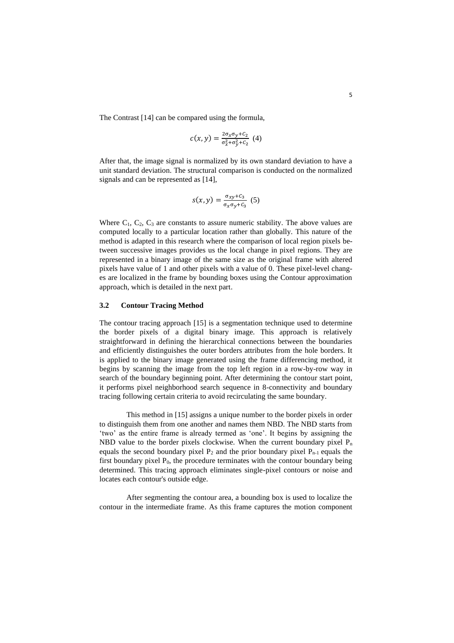The Contrast [14] can be compared using the formula,

$$
c(x,y) = \frac{2\sigma_x \sigma_y + C_2}{\sigma_x^2 + \sigma_y^2 + C_2} \tag{4}
$$

After that, the image signal is normalized by its own standard deviation to have a unit standard deviation. The structural comparison is conducted on the normalized signals and can be represented as [14],

$$
s(x,y) = \frac{\sigma_{xy} + C_3}{\sigma_x \sigma_y + C_3} \tag{5}
$$

Where  $C_1$ ,  $C_2$ ,  $C_3$  are constants to assure numeric stability. The above values are computed locally to a particular location rather than globally. This nature of the method is adapted in this research where the comparison of local region pixels between successive images provides us the local change in pixel regions. They are represented in a binary image of the same size as the original frame with altered pixels have value of 1 and other pixels with a value of 0. These pixel-level changes are localized in the frame by bounding boxes using the Contour approximation approach, which is detailed in the next part.

## **3.2 Contour Tracing Method**

The contour tracing approach [15] is a segmentation technique used to determine the border pixels of a digital binary image. This approach is relatively straightforward in defining the hierarchical connections between the boundaries and efficiently distinguishes the outer borders attributes from the hole borders. It is applied to the binary image generated using the frame differencing method, it begins by scanning the image from the top left region in a row-by-row way in search of the boundary beginning point. After determining the contour start point, it performs pixel neighborhood search sequence in 8-connectivity and boundary tracing following certain criteria to avoid recirculating the same boundary.

This method in [15] assigns a unique number to the border pixels in order to distinguish them from one another and names them NBD. The NBD starts from 'two' as the entire frame is already termed as 'one'. It begins by assigning the NBD value to the border pixels clockwise. When the current boundary pixel  $P_n$ equals the second boundary pixel  $P_2$  and the prior boundary pixel  $P_{n-1}$  equals the first boundary pixel  $P_0$ , the procedure terminates with the contour boundary being determined. This tracing approach eliminates single-pixel contours or noise and locates each contour's outside edge.

After segmenting the contour area, a bounding box is used to localize the contour in the intermediate frame. As this frame captures the motion component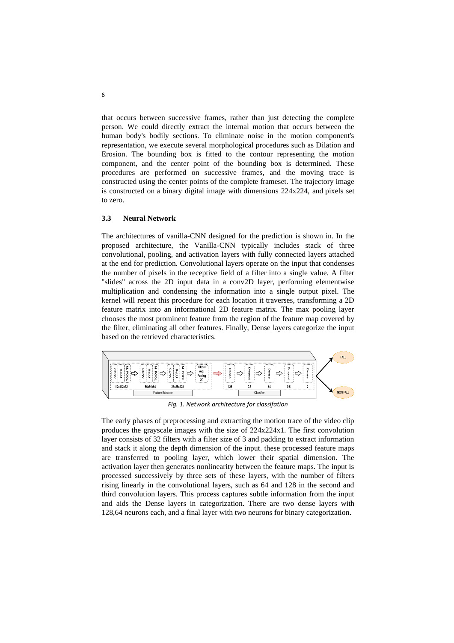that occurs between successive frames, rather than just detecting the complete person. We could directly extract the internal motion that occurs between the human body's bodily sections. To eliminate noise in the motion component's representation, we execute several morphological procedures such as Dilation and Erosion. The bounding box is fitted to the contour representing the motion component, and the center point of the bounding box is determined. These procedures are performed on successive frames, and the moving trace is constructed using the center points of the complete frameset. The trajectory image is constructed on a binary digital image with dimensions  $224x224$ , and pixels set to zero.

#### **3.3 Neural Network**

The architectures of vanilla-CNN designed for the prediction is shown in. In the proposed architecture, the Vanilla-CNN typically includes stack of three convolutional, pooling, and activation layers with fully connected layers attached at the end for prediction. Convolutional layers operate on the input that condenses the number of pixels in the receptive field of a filter into a single value. A filter "slides" across the 2D input data in a conv2D layer, performing elementwise multiplication and condensing the information into a single output pixel. The kernel will repeat this procedure for each location it traverses, transforming a 2D feature matrix into an informational 2D feature matrix. The max pooling layer chooses the most prominent feature from the region of the feature map covered by the filter, eliminating all other features. Finally, Dense layers categorize the input based on the retrieved characteristics.



*Fig. 1. Network architecture for classifation*

The early phases of preprocessing and extracting the motion trace of the video clip produces the grayscale images with the size of 224x224x1. The first convolution layer consists of 32 filters with a filter size of 3 and padding to extract information and stack it along the depth dimension of the input. these processed feature maps are transferred to pooling layer, which lower their spatial dimension. The activation layer then generates nonlinearity between the feature maps. The input is processed successively by three sets of these layers, with the number of filters rising linearly in the convolutional layers, such as 64 and 128 in the second and third convolution layers. This process captures subtle information from the input and aids the Dense layers in categorization. There are two dense layers with 128,64 neurons each, and a final layer with two neurons for binary categorization.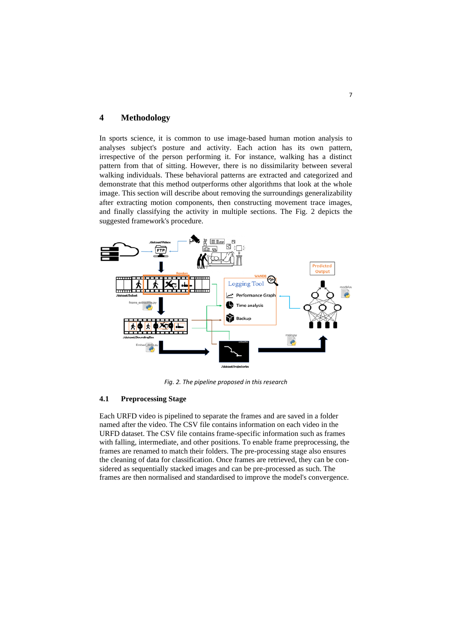# **4 Methodology**

In sports science, it is common to use image-based human motion analysis to analyses subject's posture and activity. Each action has its own pattern, irrespective of the person performing it. For instance, walking has a distinct pattern from that of sitting. However, there is no dissimilarity between several walking individuals. These behavioral patterns are extracted and categorized and demonstrate that this method outperforms other algorithms that look at the whole image. This section will describe about removing the surroundings generalizability after extracting motion components, then constructing movement trace images, and finally classifying the activity in multiple sections. The Fig. 2 depicts the suggested framework's procedure.



*Fig. 2. The pipeline proposed in this research*

### **4.1 Preprocessing Stage**

Each URFD video is pipelined to separate the frames and are saved in a folder named after the video. The CSV file contains information on each video in the URFD dataset. The CSV file contains frame-specific information such as frames with falling, intermediate, and other positions. To enable frame preprocessing, the frames are renamed to match their folders. The pre-processing stage also ensures the cleaning of data for classification. Once frames are retrieved, they can be considered as sequentially stacked images and can be pre-processed as such. The frames are then normalised and standardised to improve the model's convergence.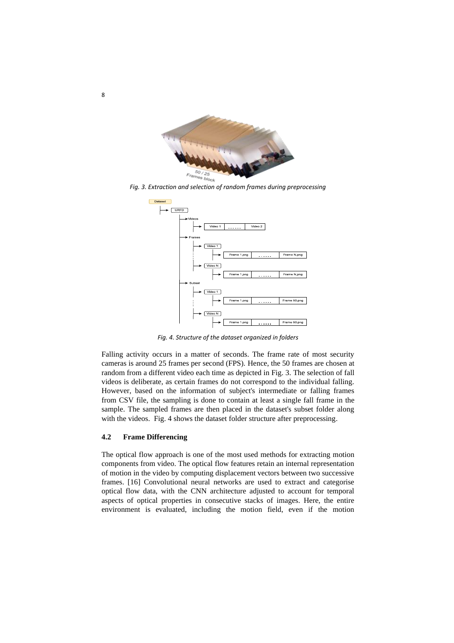

*Fig. 3. Extraction and selection of random frames during preprocessing*



*Fig. 4. Structure of the dataset organized in folders*

Falling activity occurs in a matter of seconds. The frame rate of most security cameras is around 25 frames per second (FPS). Hence, the 50 frames are chosen at random from a different video each time as depicted in Fig. 3. The selection of fall videos is deliberate, as certain frames do not correspond to the individual falling. However, based on the information of subject's intermediate or falling frames from CSV file, the sampling is done to contain at least a single fall frame in the sample. The sampled frames are then placed in the dataset's subset folder along with the videos. Fig. 4 shows the dataset folder structure after preprocessing.

#### **4.2 Frame Differencing**

The optical flow approach is one of the most used methods for extracting motion components from video. The optical flow features retain an internal representation of motion in the video by computing displacement vectors between two successive frames. [16] Convolutional neural networks are used to extract and categorise optical flow data, with the CNN architecture adjusted to account for temporal aspects of optical properties in consecutive stacks of images. Here, the entire environment is evaluated, including the motion field, even if the motion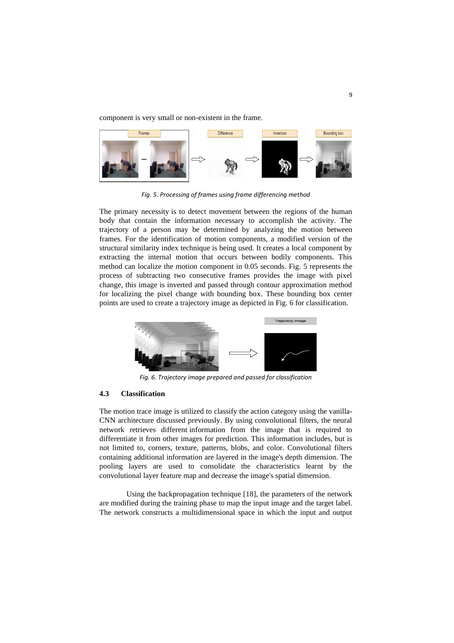component is very small or non-existent in the frame.



*Fig. 5. Processing of frames using frame differencing method*

The primary necessity is to detect movement between the regions of the human body that contain the information necessary to accomplish the activity. The trajectory of a person may be determined by analyzing the motion between frames. For the identification of motion components, a modified version of the structural similarity index technique is being used. It creates a local component by extracting the internal motion that occurs between bodily components. This method can localize the motion component in 0.05 seconds. Fig. 5 represents the process of subtracting two consecutive frames provides the image with pixel change, this image is inverted and passed through contour approximation method for localizing the pixel change with bounding box. These bounding box center points are used to create a trajectory image as depicted in Fig. 6 for classification.



*Fig. 6. Trajectory image prepared and passed for classification*

#### **4.3 Classification**

The motion trace image is utilized to classify the action category using the vanilla-CNN architecture discussed previously. By using convolutional filters, the neural network retrieves different information from the image that is required to differentiate it from other images for prediction. This information includes, but is not limited to, corners, texture, patterns, blobs, and color. Convolutional filters containing additional information are layered in the image's depth dimension. The pooling layers are used to consolidate the characteristics learnt by the convolutional layer feature map and decrease the image's spatial dimension.

Using the backpropagation technique [18], the parameters of the network are modified during the training phase to map the input image and the target label. The network constructs a multidimensional space in which the input and output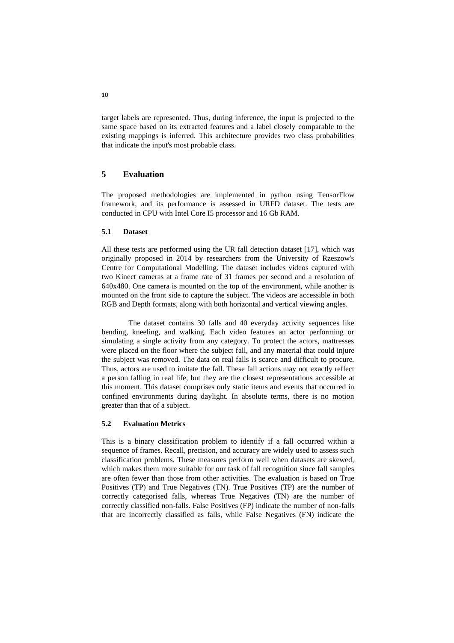target labels are represented. Thus, during inference, the input is projected to the same space based on its extracted features and a label closely comparable to the existing mappings is inferred. This architecture provides two class probabilities that indicate the input's most probable class.

# **5 Evaluation**

The proposed methodologies are implemented in python using TensorFlow framework, and its performance is assessed in URFD dataset. The tests are conducted in CPU with Intel Core I5 processor and 16 Gb RAM.

#### **5.1 Dataset**

All these tests are performed using the UR fall detection dataset [17], which was originally proposed in 2014 by researchers from the University of Rzeszow's Centre for Computational Modelling. The dataset includes videos captured with two Kinect cameras at a frame rate of 31 frames per second and a resolution of 640x480. One camera is mounted on the top of the environment, while another is mounted on the front side to capture the subject. The videos are accessible in both RGB and Depth formats, along with both horizontal and vertical viewing angles.

The dataset contains 30 falls and 40 everyday activity sequences like bending, kneeling, and walking. Each video features an actor performing or simulating a single activity from any category. To protect the actors, mattresses were placed on the floor where the subject fall, and any material that could injure the subject was removed. The data on real falls is scarce and difficult to procure. Thus, actors are used to imitate the fall. These fall actions may not exactly reflect a person falling in real life, but they are the closest representations accessible at this moment. This dataset comprises only static items and events that occurred in confined environments during daylight. In absolute terms, there is no motion greater than that of a subject.

#### **5.2 Evaluation Metrics**

This is a binary classification problem to identify if a fall occurred within a sequence of frames. Recall, precision, and accuracy are widely used to assess such classification problems. These measures perform well when datasets are skewed, which makes them more suitable for our task of fall recognition since fall samples are often fewer than those from other activities. The evaluation is based on True Positives (TP) and True Negatives (TN). True Positives (TP) are the number of correctly categorised falls, whereas True Negatives (TN) are the number of correctly classified non-falls. False Positives (FP) indicate the number of non-falls that are incorrectly classified as falls, while False Negatives (FN) indicate the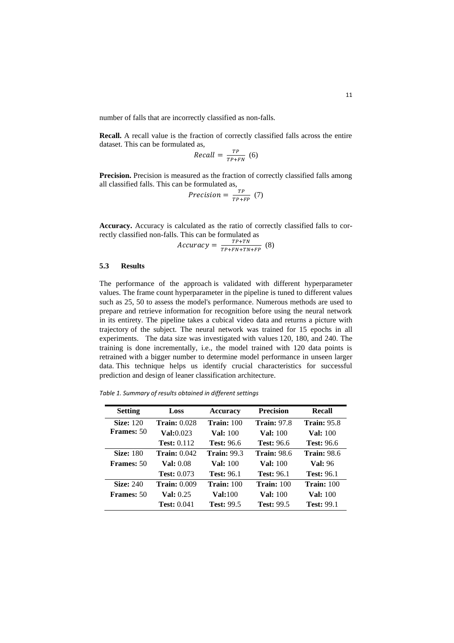number of falls that are incorrectly classified as non-falls.

**Recall.** A recall value is the fraction of correctly classified falls across the entire dataset. This can be formulated as,

$$
Recall = \frac{TP}{TP+FN} \quad (6)
$$

**Precision.** Precision is measured as the fraction of correctly classified falls among all classified falls. This can be formulated as,

Precision  $=\frac{TP}{TP}$  $\frac{1}{TP+FP}$  (7)

**Accuracy.** Accuracy is calculated as the ratio of correctly classified falls to correctly classified non-falls. This can be formulated as

$$
Accuracy = \frac{TP + TN}{TP + FN + TN + FP} \quad (8)
$$

# **5.3 Results**

The performance of the approach is validated with different hyperparameter values. The frame count hyperparameter in the pipeline is tuned to different values such as 25, 50 to assess the model's performance. Numerous methods are used to prepare and retrieve information for recognition before using the neural network in its entirety. The pipeline takes a cubical video data and returns a picture with trajectory of the subject. The neural network was trained for 15 epochs in all experiments. The data size was investigated with values 120, 180, and 240. The training is done incrementally, i.e., the model trained with 120 data points is retrained with a bigger number to determine model performance in unseen larger data. This technique helps us identify crucial characteristics for successful prediction and design of leaner classification architecture.

*Table 1. Summary of results obtained in different settings*

| <b>Setting</b>    | Loss                 | <b>Accuracy</b>    | <b>Precision</b>   | Recall             |
|-------------------|----------------------|--------------------|--------------------|--------------------|
| <b>Size:</b> 120  | <b>Train: 0.028</b>  | Train: $100$       | <b>Train: 97.8</b> | <b>Train: 95.8</b> |
| <b>Frames: 50</b> | <b>Val:</b> 0.023    | <b>Val:</b> 100    | <b>Val:</b> 100    | <b>Val:</b> 100    |
|                   | Test: $0.112$        | <b>Test:</b> 96.6  | <b>Test:</b> 96.6  | <b>Test: 96.6</b>  |
| <b>Size: 180</b>  | <b>Train:</b> 0.042  | <b>Train: 99.3</b> | <b>Train: 98.6</b> | <b>Train:</b> 98.6 |
| <b>Frames:</b> 50 | <b>Val:</b> 0.08     | <b>Val:</b> 100    | <b>Val:</b> 100    | <b>Val:</b> 96     |
|                   | <b>Test: 0.073</b>   | <b>Test:</b> 96.1  | <b>Test: 96.1</b>  | <b>Test: 96.1</b>  |
| <b>Size: 240</b>  | Train: 0.009         | Train: $100$       | Train: $100$       | Train: $100$       |
| <b>Frames:</b> 50 | <b>Val:</b> $0.25$   | <b>Val:</b> 100    | <b>Val:</b> 100    | <b>Val:</b> 100    |
|                   | <b>Test:</b> $0.041$ | <b>Test: 99.5</b>  | <b>Test: 99.5</b>  | <b>Test: 99.1</b>  |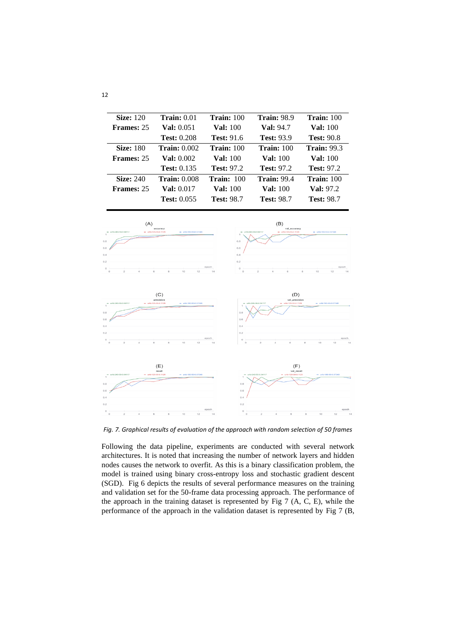| <b>Size:</b> 120  | Train: 0.01          | Train: $100$      | <b>Train: 98.9</b> | <b>Train:</b> 100  |
|-------------------|----------------------|-------------------|--------------------|--------------------|
| <b>Frames: 25</b> | <b>Val:</b> 0.051    | <b>Val:</b> 100   | <b>Val:</b> 94.7   | <b>Val:</b> 100    |
|                   | <b>Test: 0.208</b>   | <b>Test:</b> 91.6 | <b>Test: 93.9</b>  | <b>Test: 90.8</b>  |
| <b>Size: 180</b>  | Train: $0.002$       | Train: 100        | Train: 100         | <b>Train: 99.3</b> |
| <b>Frames: 25</b> | <b>Val:</b> 0.002    | <b>Val:</b> 100   | <b>Val:</b> 100    | <b>Val:</b> 100    |
|                   | <b>Test:</b> $0.135$ | <b>Test: 97.2</b> | <b>Test: 97.2</b>  | <b>Test: 97.2</b>  |
| <b>Size: 240</b>  | <b>Train:</b> 0.008  | Train: $100$      | <b>Train: 99.4</b> | Train: $100$       |
| <b>Frames: 25</b> | <b>Val:</b> 0.017    | <b>Val:</b> 100   | <b>Val:</b> 100    | <b>Val: 97.2</b>   |
|                   | <b>Test: 0.055</b>   | <b>Test: 98.7</b> | <b>Test: 98.7</b>  | <b>Test: 98.7</b>  |
|                   |                      |                   |                    |                    |



*Fig. 7. Graphical results of evaluation of the approach with random selection of 50 frames*

Following the data pipeline, experiments are conducted with several network architectures. It is noted that increasing the number of network layers and hidden nodes causes the network to overfit. As this is a binary classification problem, the model is trained using binary cross-entropy loss and stochastic gradient descent (SGD). Fig 6 depicts the results of several performance measures on the training and validation set for the 50-frame data processing approach. The performance of the approach in the training dataset is represented by Fig 7 (A, C, E), while the performance of the approach in the validation dataset is represented by Fig 7 (B,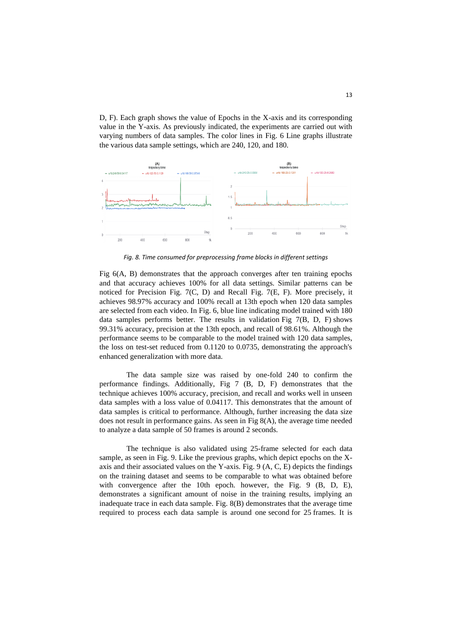D, F). Each graph shows the value of Epochs in the X-axis and its corresponding value in the Y-axis. As previously indicated, the experiments are carried out with varying numbers of data samples. The color lines in Fig. 6 Line graphs illustrate the various data sample settings, which are 240, 120, and 180.



*Fig. 8. Time consumed for preprocessing frame blocks in different settings*

Fig 6(A, B) demonstrates that the approach converges after ten training epochs and that accuracy achieves 100% for all data settings. Similar patterns can be noticed for Precision Fig. 7(C, D) and Recall Fig. 7(E, F). More precisely, it achieves 98.97% accuracy and 100% recall at 13th epoch when 120 data samples are selected from each video. In Fig. 6, blue line indicating model trained with 180 data samples performs better. The results in validation Fig 7(B, D, F) shows 99.31% accuracy, precision at the 13th epoch, and recall of 98.61%. Although the performance seems to be comparable to the model trained with 120 data samples, the loss on test-set reduced from 0.1120 to 0.0735, demonstrating the approach's enhanced generalization with more data.

The data sample size was raised by one-fold 240 to confirm the performance findings. Additionally, Fig 7 (B, D, F) demonstrates that the technique achieves 100% accuracy, precision, and recall and works well in unseen data samples with a loss value of 0.04117. This demonstrates that the amount of data samples is critical to performance. Although, further increasing the data size does not result in performance gains. As seen in Fig 8(A), the average time needed to analyze a data sample of 50 frames is around 2 seconds.

The technique is also validated using 25-frame selected for each data sample, as seen in Fig. 9. Like the previous graphs, which depict epochs on the Xaxis and their associated values on the Y-axis. Fig. 9 (A, C, E) depicts the findings on the training dataset and seems to be comparable to what was obtained before with convergence after the 10th epoch. however, the Fig. 9 (B, D, E), demonstrates a significant amount of noise in the training results, implying an inadequate trace in each data sample. Fig. 8(B) demonstrates that the average time required to process each data sample is around one second for 25 frames. It is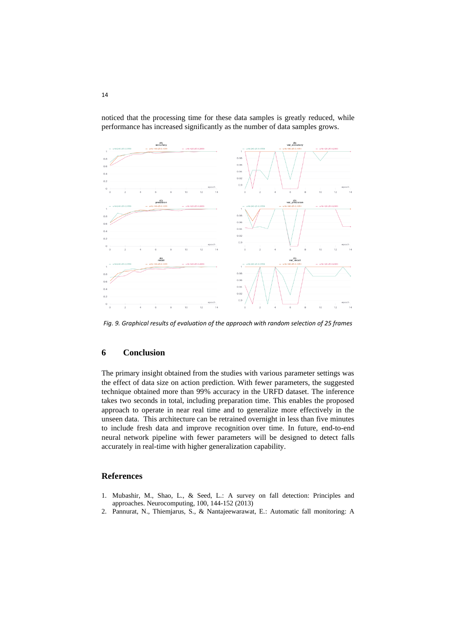

noticed that the processing time for these data samples is greatly reduced, while performance has increased significantly as the number of data samples grows.

*Fig. 9. Graphical results of evaluation of the approach with random selection of 25 frames*

# **6 Conclusion**

The primary insight obtained from the studies with various parameter settings was the effect of data size on action prediction. With fewer parameters, the suggested technique obtained more than 99% accuracy in the URFD dataset. The inference takes two seconds in total, including preparation time. This enables the proposed approach to operate in near real time and to generalize more effectively in the unseen data. This architecture can be retrained overnight in less than five minutes to include fresh data and improve recognition over time. In future, end-to-end neural network pipeline with fewer parameters will be designed to detect falls accurately in real-time with higher generalization capability.

# **References**

- 1. Mubashir, M., Shao, L., & Seed, L.: A survey on fall detection: Principles and approaches. Neurocomputing, 100, 144-152 (2013)
- 2. Pannurat, N., Thiemjarus, S., & Nantajeewarawat, E.: Automatic fall monitoring: A